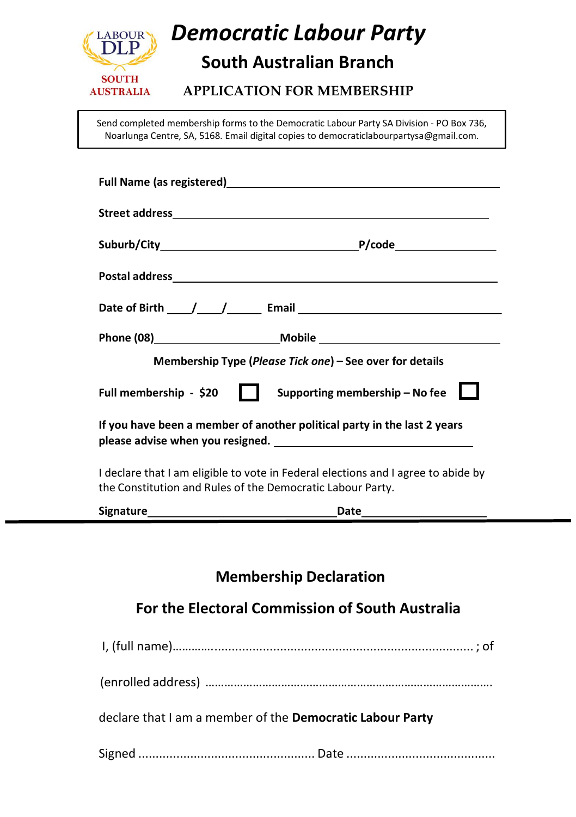

# Democratic Labour Party

## South Australian Branch

#### APPLICATION FOR MEMBERSHIP

Send completed membership forms to the Democratic Labour Party SA Division - PO Box 736, Noarlunga Centre, SA, 5168. Email digital copies to democraticlabourpartysa@gmail.com.

| Full Name (as registered) and the state of the state of the state of the state of the state of the state of the                                 |  |  |
|-------------------------------------------------------------------------------------------------------------------------------------------------|--|--|
|                                                                                                                                                 |  |  |
|                                                                                                                                                 |  |  |
|                                                                                                                                                 |  |  |
|                                                                                                                                                 |  |  |
|                                                                                                                                                 |  |  |
| Membership Type (Please Tick one) – See over for details                                                                                        |  |  |
| Supporting membership - No fee $\Box$<br>Full membership - \$20<br>.                                                                            |  |  |
| If you have been a member of another political party in the last 2 years<br>please advise when you resigned.                                    |  |  |
| I declare that I am eligible to vote in Federal elections and I agree to abide by<br>the Constitution and Rules of the Democratic Labour Party. |  |  |
|                                                                                                                                                 |  |  |
|                                                                                                                                                 |  |  |
| <b>Membership Declaration</b>                                                                                                                   |  |  |
| For the Electoral Commission of South Australia                                                                                                 |  |  |

| declare that I am a member of the Democratic Labour Party |  |
|-----------------------------------------------------------|--|
|                                                           |  |